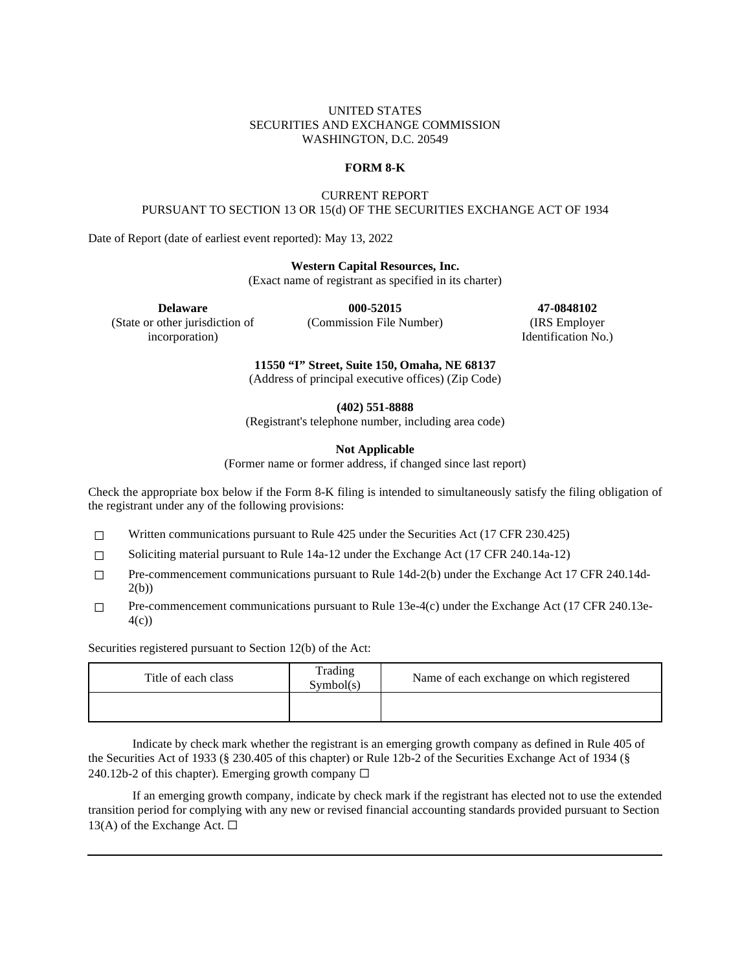### UNITED STATES SECURITIES AND EXCHANGE COMMISSION WASHINGTON, D.C. 20549

#### **FORM 8-K**

# CURRENT REPORT PURSUANT TO SECTION 13 OR 15(d) OF THE SECURITIES EXCHANGE ACT OF 1934

Date of Report (date of earliest event reported): May 13, 2022

#### **Western Capital Resources, Inc.**

(Exact name of registrant as specified in its charter)

(State or other jurisdiction of incorporation)

(Commission File Number) (IRS Employer

**Delaware 000-52015 47-0848102** Identification No.)

**11550 "I" Street, Suite 150, Omaha, NE 68137**

(Address of principal executive offices) (Zip Code)

**(402) 551-8888**

(Registrant's telephone number, including area code)

### **Not Applicable**

(Former name or former address, if changed since last report)

Check the appropriate box below if the Form 8-K filing is intended to simultaneously satisfy the filing obligation of the registrant under any of the following provisions:

 $\Box$  Written communications pursuant to Rule 425 under the Securities Act (17 CFR 230.425)

- $\Box$  Soliciting material pursuant to Rule 14a-12 under the Exchange Act (17 CFR 240.14a-12)
- $\Box$  Pre-commencement communications pursuant to Rule 14d-2(b) under the Exchange Act 17 CFR 240.14d-2(b))
- $\Box$  Pre-commencement communications pursuant to Rule 13e-4(c) under the Exchange Act (17 CFR 240.13e-4(c))

Securities registered pursuant to Section 12(b) of the Act:

| Title of each class | Trading<br>Symbol(s) | Name of each exchange on which registered |
|---------------------|----------------------|-------------------------------------------|
|                     |                      |                                           |

Indicate by check mark whether the registrant is an emerging growth company as defined in Rule 405 of the Securities Act of 1933 (§ 230.405 of this chapter) or Rule 12b-2 of the Securities Exchange Act of 1934 (§ 240.12b-2 of this chapter). Emerging growth company  $\Box$ 

If an emerging growth company, indicate by check mark if the registrant has elected not to use the extended transition period for complying with any new or revised financial accounting standards provided pursuant to Section 13(A) of the Exchange Act.  $\Box$